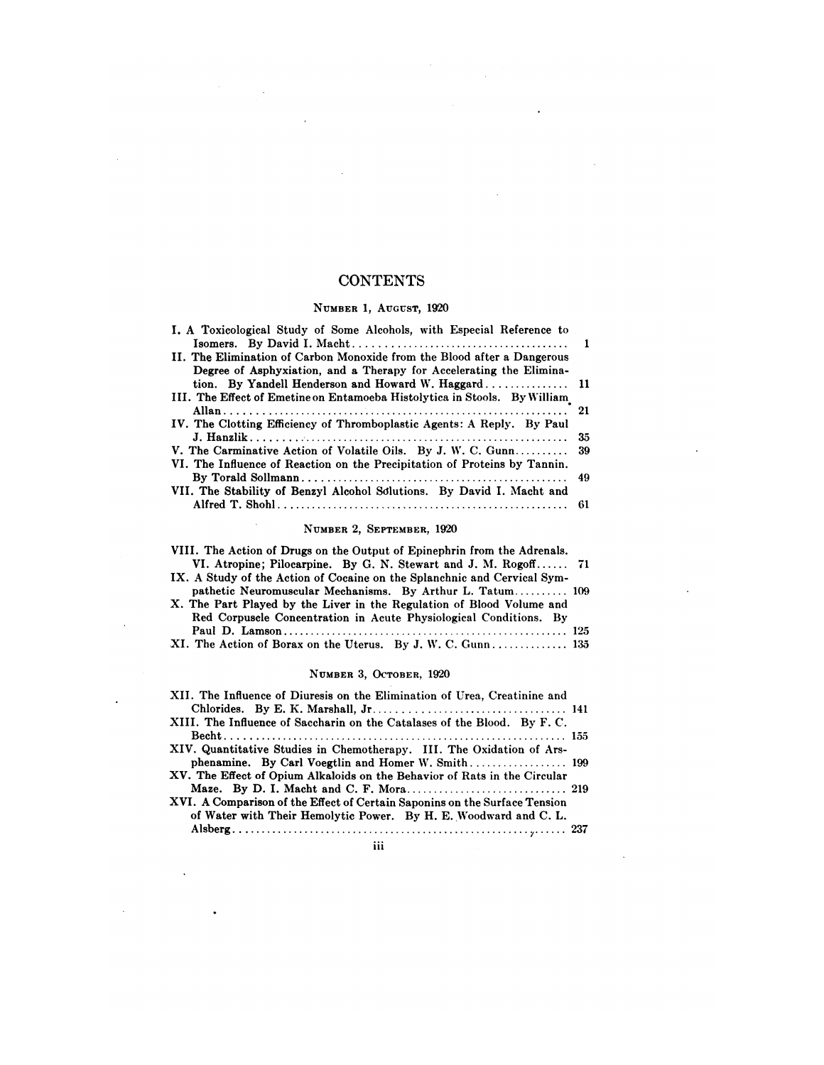## **CONTENTS**

 $\mathbb{R}^2$  and  $\mathbb{R}^2$ 

 $\sim 10^7$ 

 $\bar{\beta}$ 

 $\ddot{\phantom{a}}$ 

 $\ddot{\phantom{a}}$ 

 $\overline{\phantom{a}}$ 

 $\sim 10^6$ 

 $\sim 10$ 

 $\sim 10$ 

 $\hat{\mathcal{L}}$ 

 $\sim$ 

 $\mathcal{L}(\mathcal{L}^{\mathcal{L}})$  and  $\mathcal{L}(\mathcal{L}^{\mathcal{L}})$  . The contribution

 $\bullet$ 

 $\sim 10^7$ 

 $\bar{z}$ 

### **NUMBER** 1, **AUGUST,** 1920

| CONTENTS                                                                                                                                       |    |
|------------------------------------------------------------------------------------------------------------------------------------------------|----|
| NUMBER 1, AUGUST, 1920                                                                                                                         |    |
| I. A Toxicological Study of Some Alcohols, with Especial Reference to                                                                          |    |
| II. The Elimination of Carbon Monoxide from the Blood after a Dangerous<br>Degree of Asphyxiation, and a Therapy for Accelerating the Elimina- |    |
| III. The Effect of Emetine on Entamoeba Histolytica in Stools. By William                                                                      |    |
| IV. The Clotting Efficiency of Thromboplastic Agents: A Reply. By Paul                                                                         | 21 |
|                                                                                                                                                | 35 |
| V. The Carminative Action of Volatile Oils. By J. W. C. Gunn<br>VI. The Influence of Reaction on the Precipitation of Proteins by Tannin.      | 39 |
|                                                                                                                                                | 49 |
| VII. The Stability of Benzyl Alcohol Solutions. By David I. Macht and                                                                          | 61 |

#### **NUMBER** 2, **SEPTEMBER,** 1920

| NUMBER 2, SEPTEMBER, 1920                                                |  |
|--------------------------------------------------------------------------|--|
| VIII. The Action of Drugs on the Output of Epinephrin from the Adrenals. |  |
| VI. Atropine; Pilocarpine. By G. N. Stewart and J. M. Rogoff 71          |  |
| IX. A Study of the Action of Cocaine on the Splanchnic and Cervical Sym- |  |
| pathetic Neuromuscular Mechanisms. By Arthur L. Tatum 109                |  |
| X. The Part Played by the Liver in the Regulation of Blood Volume and    |  |
| Red Corpuscle Concentration in Acute Physiological Conditions. By        |  |
|                                                                          |  |
| XI. The Action of Borax on the Uterus. By J. W. C. Gunn 135              |  |

#### **NUMBER** 3, OCTOBER, 1920

| NUMBER 3, OCTOBER, 1920                                                                                                                               |  |
|-------------------------------------------------------------------------------------------------------------------------------------------------------|--|
| XII. The Influence of Diuresis on the Elimination of Urea, Creatinine and<br>XIII. The Influence of Saccharin on the Catalases of the Blood. By F. C. |  |
| XIV. Quantitative Studies in Chemotherapy. III. The Oxidation of Ars-<br>XV. The Effect of Opium Alkaloids on the Behavior of Rats in the Circular    |  |
| XVI. A Comparison of the Effect of Certain Saponins on the Surface Tension<br>of Water with Their Hemolytic Power. By H. E. Woodward and C. L.        |  |

**111**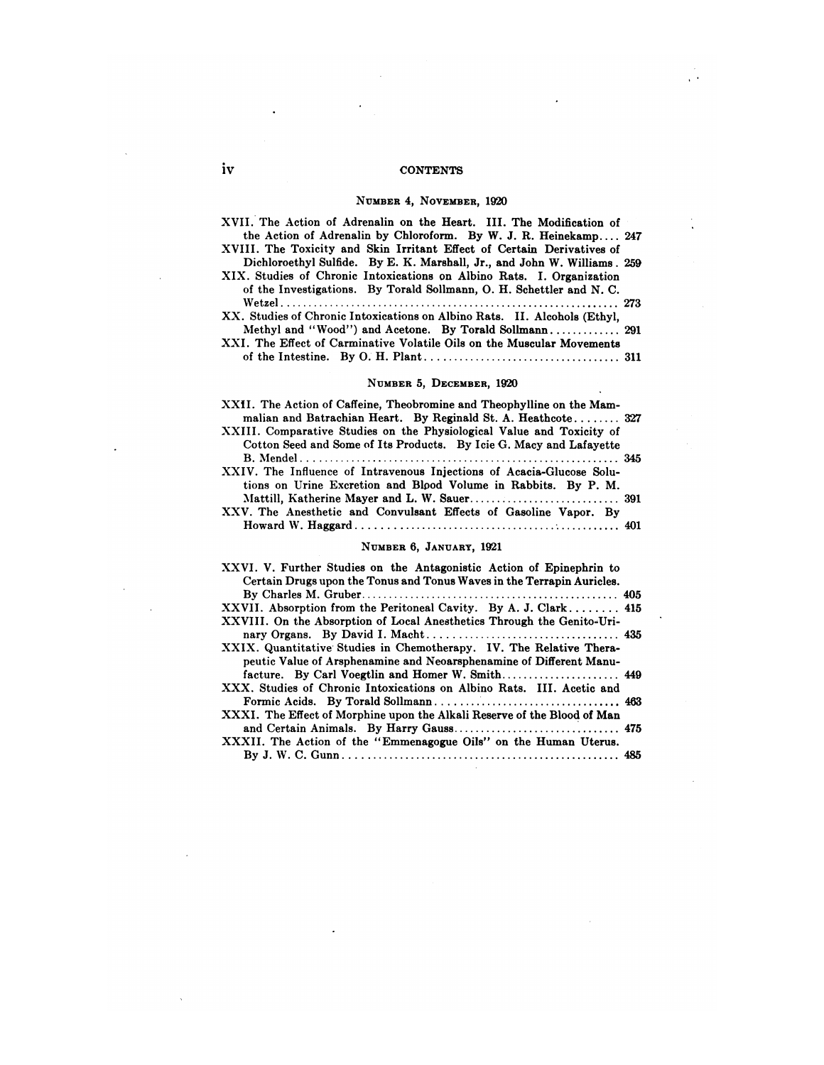### iv CONTENTS

 $\cdot$ 

 $\sqrt{2}$ 

Ì.

 $\bar{z}$ 

 $\sim$ 

 $\mathcal{A}$ 

#### **NUMBER** 4, **NOVEMBER,** 1920

| iv | <b>ONTENTS</b>                                                                                                                                                                                                                                                                                 |  |
|----|------------------------------------------------------------------------------------------------------------------------------------------------------------------------------------------------------------------------------------------------------------------------------------------------|--|
|    | NUMBER 4, NOVEMBER, 1920                                                                                                                                                                                                                                                                       |  |
|    | XVII. The Action of Adrenalin on the Heart. III. The Modification of<br>the Action of Adrenalin by Chloroform. By W. J. R. Heinekamp 247<br>XVIII. The Toxicity and Skin Irritant Effect of Certain Derivatives of<br>Dichloroethyl Sulfide. By E. K. Marshall, Jr., and John W. Williams. 259 |  |
|    | XIX. Studies of Chronic Intoxications on Albino Rats. I. Organization<br>of the Investigations. By Torald Sollmann, O. H. Schettler and N. C.                                                                                                                                                  |  |
|    | XX. Studies of Chronic Intoxications on Albino Rats. II. Alcohols (Ethyl,                                                                                                                                                                                                                      |  |
|    | XXI. The Effect of Carminative Volatile Oils on the Muscular Movements                                                                                                                                                                                                                         |  |
|    |                                                                                                                                                                                                                                                                                                |  |

#### **NUMBER** 5, **DECEMBER,** 1920

| the Life of Caminative Tologic City on the Maggalian Motelliches                                                                                                                                                                                                                        |  |
|-----------------------------------------------------------------------------------------------------------------------------------------------------------------------------------------------------------------------------------------------------------------------------------------|--|
| NUMBER 5, DECEMBER, 1920                                                                                                                                                                                                                                                                |  |
| XXII. The Action of Caffeine, Theobromine and Theophylline on the Mam-<br>malian and Batrachian Heart. By Reginald St. A. Heathcote 327<br>XXIII. Comparative Studies on the Physiological Value and Toxicity of<br>Cotton Seed and Some of Its Products. By Icie G. Macy and Lafayette |  |
| XXIV. The Influence of Intravenous Injections of Acacia-Glucose Solu-<br>tions on Urine Excretion and Blood Volume in Rabbits. By P. M.                                                                                                                                                 |  |
| XXV. The Anesthetic and Convulsant Effects of Gasoline Vapor. By                                                                                                                                                                                                                        |  |
| NUMBER 6, JANUARY, 1921                                                                                                                                                                                                                                                                 |  |
| XXVI. V. Further Studies on the Antagonistic Action of Epinephrin to<br>Certain Drugs upon the Tonus and Tonus Waves in the Terrapin Auricles.                                                                                                                                          |  |

| NUMBER 6. JANUARY. 1921                                                                                                                        |  |
|------------------------------------------------------------------------------------------------------------------------------------------------|--|
| XXVI. V. Further Studies on the Antagonistic Action of Epinephrin to<br>Certain Drugs upon the Tonus and Tonus Waves in the Terrapin Auricles. |  |
|                                                                                                                                                |  |
| XXVII. Absorption from the Peritoneal Cavity. By A. J. Clark 415<br>XXVIII. On the Absorption of Local Anesthetics Through the Genito-Uri-     |  |
| XXIX. Quantitative Studies in Chemotherapy. IV. The Relative Thera-                                                                            |  |
| peutic Value of Arsphenamine and Neoarsphenamine of Different Manu-                                                                            |  |
| facture. By Carl Voegtlin and Homer W. Smith 449<br>XXX, Studies of Chronic Intoxications on Albino Rats. III, Acetic and                      |  |
| XXXI. The Effect of Morphine upon the Alkali Reserve of the Blood of Man                                                                       |  |
|                                                                                                                                                |  |
| XXXII. The Action of the "Emmenagogue Oils" on the Human Uterus.                                                                               |  |
|                                                                                                                                                |  |

 $\omega$ 

 $\bar{\lambda}$ 

 $\ddot{\phantom{a}}$ 

 $\bar{\mathcal{A}}$ 

 $\mathcal{L}_{\mathbf{r}}$ 

 $\bar{\lambda}$ 

 $\ddot{\phantom{a}}$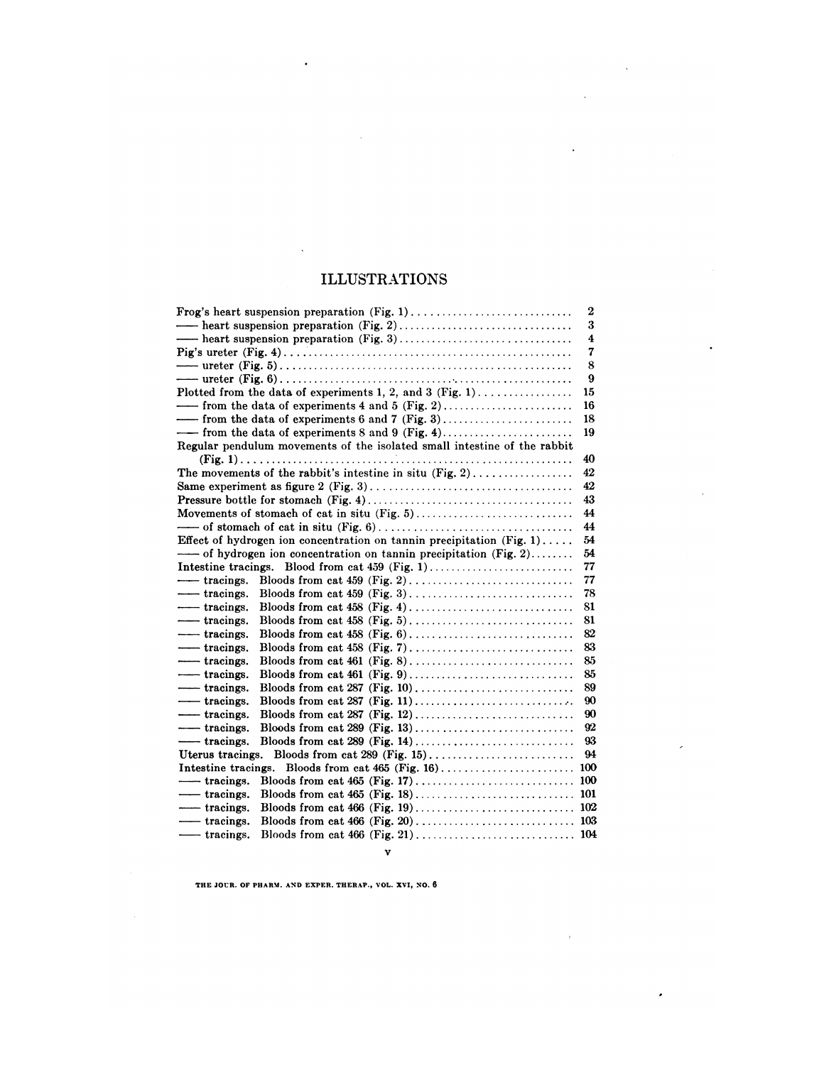## ILLUSTRATIONS

 $\sim$ 

 $\hat{\mathcal{A}}$ 

 $\overline{\phantom{a}}$ 

 $\overline{\phantom{a}}$ 

 $\cdot$ 

 $\bar{t}$ 

 $\cdot$ 

| <b>ILLUSTRATIONS</b>                                                                                      |     |
|-----------------------------------------------------------------------------------------------------------|-----|
|                                                                                                           | 2   |
|                                                                                                           | 3   |
|                                                                                                           | 4   |
|                                                                                                           | 7   |
|                                                                                                           | 8   |
|                                                                                                           | 9   |
| Plotted from the data of experiments 1, 2, and 3 (Fig. 1)                                                 | 15  |
|                                                                                                           | 16  |
|                                                                                                           | 18  |
|                                                                                                           | 19  |
| Regular pendulum movements of the isolated small intestine of the rabbit                                  |     |
|                                                                                                           | 40  |
| The movements of the rabbit's intestine in situ $(Fig, 2)$                                                | 42  |
|                                                                                                           | 42  |
|                                                                                                           | 43  |
|                                                                                                           | 44  |
|                                                                                                           | 44  |
| Effect of hydrogen ion concentration on tannin precipitation (Fig. 1)                                     | 54  |
| ---- of hydrogen ion concentration on tannin precipitation (Fig. 2)                                       | 54  |
|                                                                                                           | 77  |
| $-$ tracings.                                                                                             | 77  |
| - tracings.                                                                                               | 78  |
| - tracings.                                                                                               | 81  |
| $-$ tracings.                                                                                             | 81  |
| - tracings.                                                                                               | 82  |
| - tracings.                                                                                               | 83  |
| -tracings.<br>Bloods from cat 461 (Fig. 8). $\dots \dots \dots \dots \dots \dots \dots \dots \dots \dots$ | 85  |
| - tracings.                                                                                               | 85  |
| - tracings.                                                                                               | 89  |
| - tracings.                                                                                               | 90  |
| - tracings.                                                                                               | 90  |
| - tracings.                                                                                               | 92  |
| -tracings.                                                                                                | 93  |
| Uterus tracings.                                                                                          | 94  |
| Intestine tracings.                                                                                       |     |
| — tracings.                                                                                               | 100 |
| - tracings.                                                                                               |     |
| -tracings.                                                                                                |     |
| - tracings.                                                                                               |     |
| — tracings.                                                                                               |     |

v

**THE JOtR. OF PHARM. AND EXPER. THERAP., VOL. XVI, NO.** <sup>6</sup>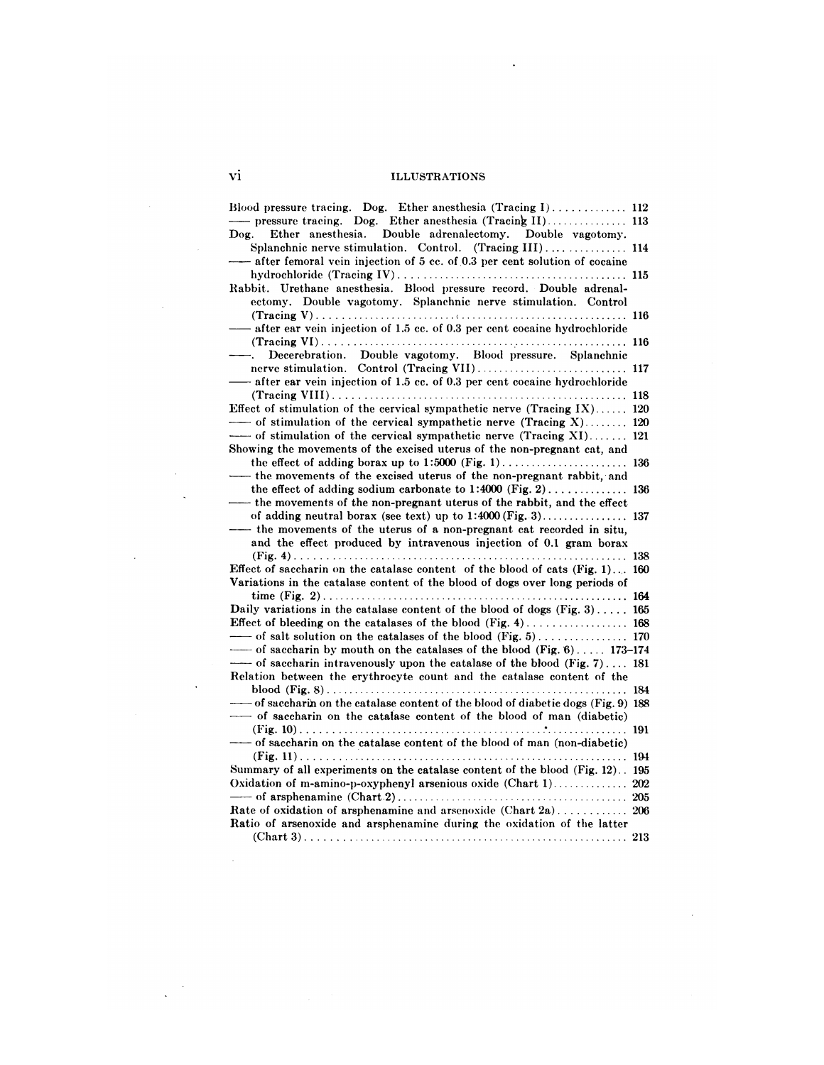## vi ILLUSTRATIONS

 $\ddot{\phantom{a}}$ 

| vi<br><b>ILLUSTRATIONS</b>                                                                                                                                                                                                                                                 |  |
|----------------------------------------------------------------------------------------------------------------------------------------------------------------------------------------------------------------------------------------------------------------------------|--|
| Blood pressure tracing. Dog. Ether anesthesia $(Tracing 1) \dots \dots \dots \dots \dots 112$<br>Ether anesthesia. Double adrenalectomy. Double vagotomy.<br>$\bf{Dog.}$                                                                                                   |  |
| Splanchnic nerve stimulation. Control. (Tracing III) 114<br>- after femoral vein injection of 5 cc. of 0.3 per cent solution of cocaine                                                                                                                                    |  |
| Rabbit. Urethane anesthesia. Blood pressure record. Double adrenal-<br>ectomy. Double vagotomy. Splanchnic nerve stimulation. Control                                                                                                                                      |  |
| -after ear vein injection of 1.5 cc. of 0.3 per cent cocaine hydrochloride                                                                                                                                                                                                 |  |
| $-\frac{1}{2}$<br>Decerebration. Double vagotomy. Blood pressure. Splanchnic                                                                                                                                                                                               |  |
| -after ear vein injection of 1.5 cc. of 0.3 per cent cocaine hydrochloride                                                                                                                                                                                                 |  |
| Effect of stimulation of the cervical sympathetic nerve (Tracing $IX$ ) 120                                                                                                                                                                                                |  |
| $\overline{\phantom{a}}$ of stimulation of the cervical sympathetic nerve (Tracing X) 120<br>-- of stimulation of the cervical sympathetic nerve (Tracing XI) 121                                                                                                          |  |
| Showing the movements of the excised uterus of the non-pregnant cat, and                                                                                                                                                                                                   |  |
| the movements of the excised uterus of the non-pregnant rabbit, and<br>the effect of adding sodium carbonate to $1:4000$ (Fig. 2) 136<br>— the movements of the non-pregnant uterus of the rabbit, and the effect                                                          |  |
| - the movements of the uterus of a non-pregnant cat recorded in situ,                                                                                                                                                                                                      |  |
| and the effect produced by intravenous injection of 0.1 gram borax                                                                                                                                                                                                         |  |
| Effect of saccharin on the catalase content of the blood of cats $(Fig, 1)$ 160<br>Variations in the catalase content of the blood of dogs over long periods of                                                                                                            |  |
| Daily variations in the catalase content of the blood of dogs (Fig. 3) 165                                                                                                                                                                                                 |  |
|                                                                                                                                                                                                                                                                            |  |
| $\overline{\phantom{a}}$ of saccharin by mouth on the catalases of the blood (Fig. 6) 173–174<br>$\overline{\phantom{a}}$ of saccharin intravenously upon the catalase of the blood (Fig. 7) 181<br>Relation between the erythrocyte count and the catalase content of the |  |
| of succharing on the catalase content of the blood of diabetic dogs (Fig. 9) 188                                                                                                                                                                                           |  |
| -- of saccharin on the catalase content of the blood of man (diabetic)                                                                                                                                                                                                     |  |
| ------- of saccharin on the catalase content of the blood of man (non-diabetic)                                                                                                                                                                                            |  |
| Summary of all experiments on the catalase content of the blood (Fig. 12). 195                                                                                                                                                                                             |  |
|                                                                                                                                                                                                                                                                            |  |
| Rate of oxidation of arsphenamine and arsenoxide (Chart 2a) 206<br>Ratio of arsenoxide and arsphenamine during the oxidation of the latter                                                                                                                                 |  |
|                                                                                                                                                                                                                                                                            |  |

 $\sim$   $\sim$ 

 $\sim 10^6$ 

 $\sim 10^6$  $\ddot{\phantom{a}}$ 

 $\mathcal{L}(\mathcal{L})$  and  $\mathcal{L}(\mathcal{L})$ 

 $\frac{1}{\sqrt{2}}$  ,  $\frac{1}{\sqrt{2}}$ 

 $\sim$   $\sim$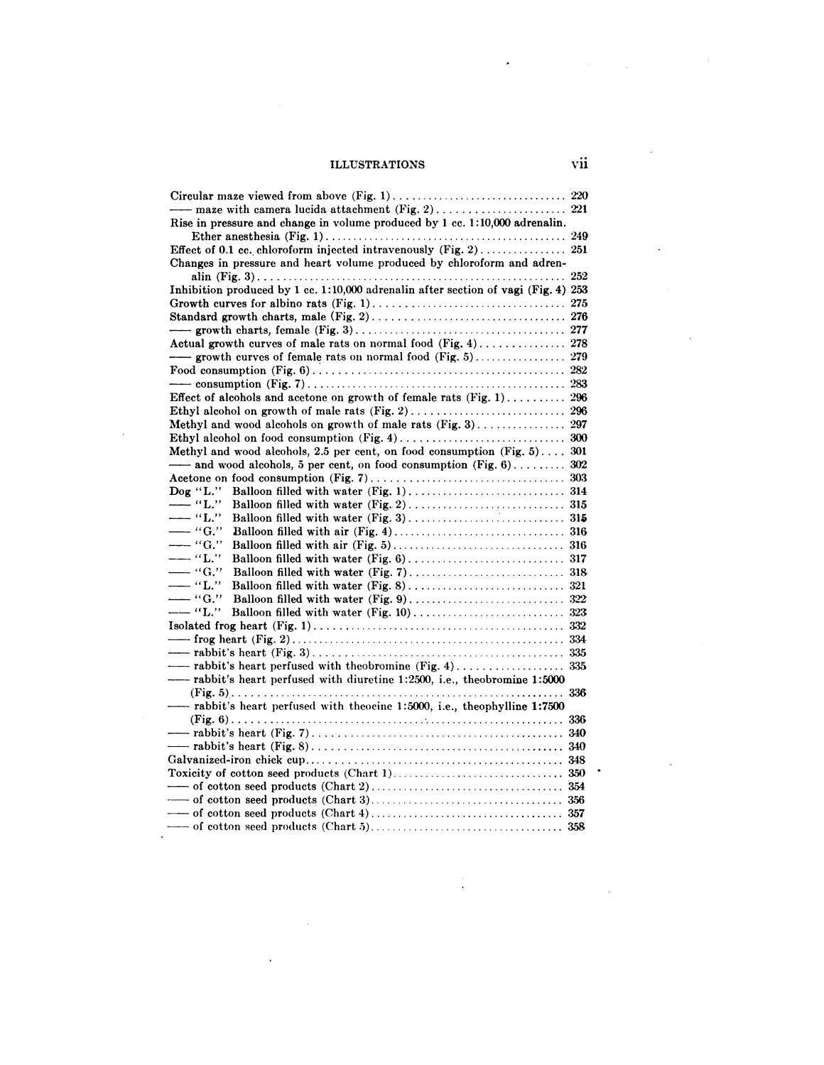# ILLUSTRATIONS Vii

| Rise in pressure and change in volume produced by 1 cc. 1:10,000 adrenalin.<br>Changes in pressure and heart volume produced by chloroform and adren-<br>Inhibition produced by 1 cc. 1:10,000 adrenalin after section of vagi (Fig. 4) 253<br>Methyl and wood alcohols, 2.5 per cent, on food consumption $(Fig, 5)$ 301<br>-and wood alcohols, 5 per cent, on food consumption (Fig. 6) 302<br>$\bf{Dog}$ "L."<br>—— "L."<br>$-$ "L"<br>$-$ "G."<br>$-$ "G."<br>$-\cdot$ "L."<br>$-$ "G."<br>$-$ "L"<br>$-$ "G."<br>--- "L."<br>rabbit's heart perfused with diuretine 1:2500, i.e., theobromine 1:5000 | vii |
|-----------------------------------------------------------------------------------------------------------------------------------------------------------------------------------------------------------------------------------------------------------------------------------------------------------------------------------------------------------------------------------------------------------------------------------------------------------------------------------------------------------------------------------------------------------------------------------------------------------|-----|
|                                                                                                                                                                                                                                                                                                                                                                                                                                                                                                                                                                                                           |     |
|                                                                                                                                                                                                                                                                                                                                                                                                                                                                                                                                                                                                           |     |
|                                                                                                                                                                                                                                                                                                                                                                                                                                                                                                                                                                                                           |     |
|                                                                                                                                                                                                                                                                                                                                                                                                                                                                                                                                                                                                           |     |
|                                                                                                                                                                                                                                                                                                                                                                                                                                                                                                                                                                                                           |     |
|                                                                                                                                                                                                                                                                                                                                                                                                                                                                                                                                                                                                           |     |
|                                                                                                                                                                                                                                                                                                                                                                                                                                                                                                                                                                                                           |     |
|                                                                                                                                                                                                                                                                                                                                                                                                                                                                                                                                                                                                           |     |
|                                                                                                                                                                                                                                                                                                                                                                                                                                                                                                                                                                                                           |     |
|                                                                                                                                                                                                                                                                                                                                                                                                                                                                                                                                                                                                           |     |
|                                                                                                                                                                                                                                                                                                                                                                                                                                                                                                                                                                                                           |     |
|                                                                                                                                                                                                                                                                                                                                                                                                                                                                                                                                                                                                           |     |
|                                                                                                                                                                                                                                                                                                                                                                                                                                                                                                                                                                                                           |     |
|                                                                                                                                                                                                                                                                                                                                                                                                                                                                                                                                                                                                           |     |
|                                                                                                                                                                                                                                                                                                                                                                                                                                                                                                                                                                                                           |     |
|                                                                                                                                                                                                                                                                                                                                                                                                                                                                                                                                                                                                           |     |
|                                                                                                                                                                                                                                                                                                                                                                                                                                                                                                                                                                                                           |     |
|                                                                                                                                                                                                                                                                                                                                                                                                                                                                                                                                                                                                           |     |
|                                                                                                                                                                                                                                                                                                                                                                                                                                                                                                                                                                                                           |     |
|                                                                                                                                                                                                                                                                                                                                                                                                                                                                                                                                                                                                           |     |
|                                                                                                                                                                                                                                                                                                                                                                                                                                                                                                                                                                                                           |     |
|                                                                                                                                                                                                                                                                                                                                                                                                                                                                                                                                                                                                           |     |
|                                                                                                                                                                                                                                                                                                                                                                                                                                                                                                                                                                                                           |     |
|                                                                                                                                                                                                                                                                                                                                                                                                                                                                                                                                                                                                           |     |
|                                                                                                                                                                                                                                                                                                                                                                                                                                                                                                                                                                                                           |     |
|                                                                                                                                                                                                                                                                                                                                                                                                                                                                                                                                                                                                           |     |
|                                                                                                                                                                                                                                                                                                                                                                                                                                                                                                                                                                                                           |     |
|                                                                                                                                                                                                                                                                                                                                                                                                                                                                                                                                                                                                           |     |
|                                                                                                                                                                                                                                                                                                                                                                                                                                                                                                                                                                                                           |     |
|                                                                                                                                                                                                                                                                                                                                                                                                                                                                                                                                                                                                           |     |
|                                                                                                                                                                                                                                                                                                                                                                                                                                                                                                                                                                                                           |     |
|                                                                                                                                                                                                                                                                                                                                                                                                                                                                                                                                                                                                           |     |
|                                                                                                                                                                                                                                                                                                                                                                                                                                                                                                                                                                                                           |     |
|                                                                                                                                                                                                                                                                                                                                                                                                                                                                                                                                                                                                           |     |
|                                                                                                                                                                                                                                                                                                                                                                                                                                                                                                                                                                                                           |     |
|                                                                                                                                                                                                                                                                                                                                                                                                                                                                                                                                                                                                           |     |
|                                                                                                                                                                                                                                                                                                                                                                                                                                                                                                                                                                                                           |     |
| - rabbit's heart perfused with theocine 1:5000, i.e., theophylline 1:7500                                                                                                                                                                                                                                                                                                                                                                                                                                                                                                                                 |     |
|                                                                                                                                                                                                                                                                                                                                                                                                                                                                                                                                                                                                           |     |
|                                                                                                                                                                                                                                                                                                                                                                                                                                                                                                                                                                                                           |     |
|                                                                                                                                                                                                                                                                                                                                                                                                                                                                                                                                                                                                           |     |
|                                                                                                                                                                                                                                                                                                                                                                                                                                                                                                                                                                                                           |     |
|                                                                                                                                                                                                                                                                                                                                                                                                                                                                                                                                                                                                           |     |
|                                                                                                                                                                                                                                                                                                                                                                                                                                                                                                                                                                                                           |     |
|                                                                                                                                                                                                                                                                                                                                                                                                                                                                                                                                                                                                           |     |
|                                                                                                                                                                                                                                                                                                                                                                                                                                                                                                                                                                                                           |     |
|                                                                                                                                                                                                                                                                                                                                                                                                                                                                                                                                                                                                           |     |

 $\sim$ 

 $\hat{\mathbf{v}}$ 

 $\frac{1}{2}$ 

 $\ddot{\phantom{a}}$ 

 $\label{eq:2.1} \frac{1}{\sqrt{2}}\int_{\mathbb{R}^{2}}\left|\frac{d\mathbf{y}}{d\mathbf{x}}\right|^{2}d\mathbf{x}^{2}d\mathbf{x}^{2}d\mathbf{x}^{2}d\mathbf{x}^{2}d\mathbf{x}^{2}d\mathbf{x}^{2}d\mathbf{x}^{2}d\mathbf{x}^{2}d\mathbf{x}^{2}d\mathbf{x}^{2}d\mathbf{x}^{2}d\mathbf{x}^{2}d\mathbf{x}^{2}d\mathbf{x}^{2}d\mathbf{x}^{2}d\mathbf{x}^{2}d\mathbf{x}^{2}d\mathbf{x}^{2}d\$ 

 $\sim$   $\epsilon$ 

 $\ddot{\phantom{a}}$ 

 $\ddot{\phantom{1}}$ 

 $\bar{z}$